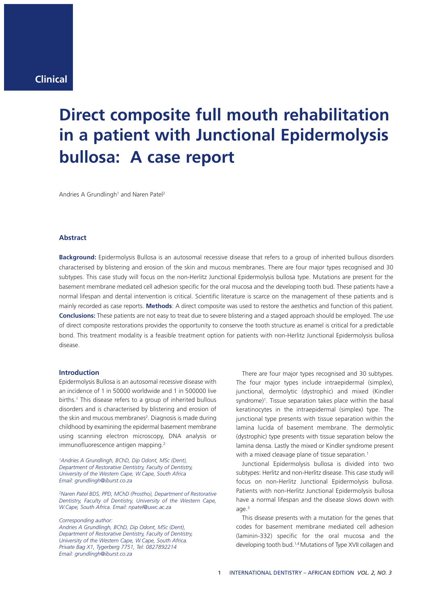# **Direct composite full mouth rehabilitation in a patient with Junctional Epidermolysis bullosa: A case report**

Andries A Grundlingh<sup>1</sup> and Naren Patel<sup>2</sup>

## **Abstract**

**Background:** Epidermolysis Bullosa is an autosomal recessive disease that refers to a group of inherited bullous disorders characterised by blistering and erosion of the skin and mucous membranes. There are four major types recognised and 30 subtypes. This case study will focus on the non-Herlitz Junctional Epidermolysis bullosa type. Mutations are present for the basement membrane mediated cell adhesion specific for the oral mucosa and the developing tooth bud. These patients have a normal lifespan and dental intervention is critical. Scientific literature is scarce on the management of these patients and is mainly recorded as case reports. **Methods**: A direct composite was used to restore the aesthetics and function of this patient. **Conclusions:** These patients are not easy to treat due to severe blistering and a staged approach should be employed. The use of direct composite restorations provides the opportunity to conserve the tooth structure as enamel is critical for a predictable bond. This treatment modality is a feasible treatment option for patients with non-Herlitz Junctional Epidermolysis bullosa disease.

## **Introduction**

Epidermolysis Bullosa is an autosomal recessive disease with an incidence of 1 in 50000 worldwide and 1 in 500000 live births.<sup>1</sup> This disease refers to a group of inherited bullous disorders and is characterised by blistering and erosion of the skin and mucous membranes<sup>2</sup>. Diagnosis is made during childhood by examining the epidermal basement membrane using scanning electron microscopy, DNA analysis or immunofluorescence antigen mapping.2

*1Andries A Grundlingh, BChD, Dip Odont, MSc (Dent), Department of Restorative Dentistry, Faculty of Dentistry, University of the Western Cape, W.Cape, South Africa Email: grundlingh@iburst.co.za*

*2Naren Patel BDS, PPD, MChD (Prostho), Department of Restorative Dentistry, Faculty of Dentistry, University of the Western Cape, W.Cape, South Africa. Email: npatel@uwc.ac.za*

*Corresponding author:*

*Andries A Grundlingh, BChD, Dip Odont, MSc (Dent), Department of Restorative Dentistry, Faculty of Dentistry, University of the Western Cape, W.Cape, South Africa. Private Bag X1, Tygerberg 7751, Tel: 0827892214 Email: grundlingh@iburst.co.za*

There are four major types recognised and 30 subtypes. The four major types include intraepidermal (simplex), junctional, dermolytic (dystrophic) and mixed (Kindler syndrome)<sup>1</sup>. Tissue separation takes place within the basal keratinocytes in the intraepidermal (simplex) type. The junctional type presents with tissue separation within the lamina lucida of basement membrane. The dermolytic (dystrophic) type presents with tissue separation below the lamina densa. Lastly the mixed or Kindler syndrome present with a mixed cleavage plane of tissue separation.<sup>1</sup>

Junctional Epidermolysis bullosa is divided into two subtypes: Herlitz and non-Herlitz disease. This case study will focus on non-Herlitz Junctional Epidermolysis bullosa. Patients with non-Herlitz Junctional Epidermolysis bullosa have a normal lifespan and the disease slows down with age.<sup>3</sup>

This disease presents with a mutation for the genes that codes for basement membrane mediated cell adhesion (laminin-332) specific for the oral mucosa and the developing tooth bud.1,4 Mutations of Type XVII collagen and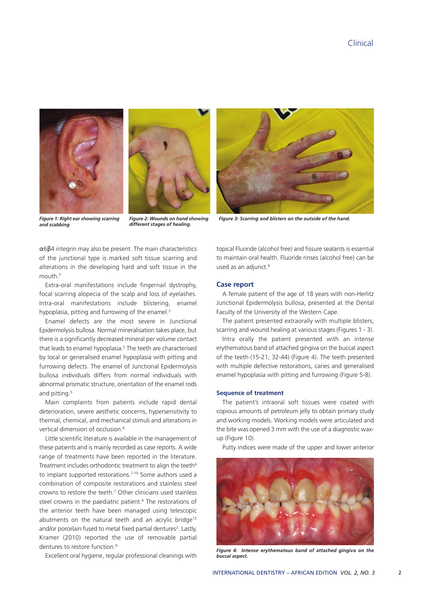



*and scabbing*

*Figure 2: Wounds on hand showing different stages of healing.*

α6β4 integrin may also be present. The main characteristics of the junctional type is marked soft tissue scarring and alterations in the developing hard and soft tissue in the mouth.3

Extra-oral manifestations include fingernail dystrophy, focal scarring alopecia of the scalp and loss of eyelashes. Intra-oral manifestations include blistering, enamel hypoplasia, pitting and furrowing of the enamel.<sup>3</sup>

Enamel defects are the most severe in Junctional Epidermolysis bullosa. Normal mineralisation takes place, but there is a significantly decreased mineral per volume contact that leads to enamel hypoplasia.<sup>5</sup> The teeth are characterised by local or generalised enamel hypoplasia with pitting and furrowing defects. The enamel of Junctional Epidermolysis bullosa individuals differs from normal individuals with abnormal prismatic structure, orientation of the enamel rods and pitting.<sup>5</sup>

Main complaints from patients include rapid dental deterioration, severe aesthetic concerns, hypersensitivity to thermal, chemical, and mechanical stimuli and alterations in vertical dimension of occlusion.6

Little scientific literature is available in the management of these patients and is mainly recorded as case reports. A wide range of treatments have been reported in the literature. Treatment includes orthodontic treatment to align the teeth<sup>6</sup> to implant supported restorations.<sup>7-10</sup> Some authors used a combination of composite restorations and stainless steel crowns to restore the teeth.7 Other clinicians used stainless steel crowns in the paediatric patient.<sup>8</sup> The restorations of the anterior teeth have been managed using telescopic abutments on the natural teeth and an acrylic bridge<sup>12</sup> and/or porcelain fused to metal fixed partial dentures<sup>2</sup>. Lastly, Kramer (2010) reported the use of removable partial dentures to restore function.<sup>9</sup>

Excellent oral hygiene, regular professional cleanings with



Figure 1: Right ear showing scarring Figure 2: Wounds on hand showing Figure 3: Scarring and blisters on the outside of the hand.

topical Fluoride (alcohol free) and fissure sealants is essential to maintain oral health. Fluoride rinses (alcohol free) can be used as an adjunct.<sup>9</sup>

#### **Case report**

A female patient of the age of 18 years with non-Herlitz Junctional Epidermolysis bullosa, presented at the Dental Faculty of the University of the Western Cape.

The patient presented extraorally with multiple blisters, scarring and wound healing at various stages (Figures 1 - 3).

Intra orally the patient presented with an intense erythematous band of attached gingiva on the buccal aspect of the teeth (15-21; 32-44) (Figure 4). The teeth presented with multiple defective restorations, caries and generalised enamel hypoplasia with pitting and furrowing (Figure 5-8).

## **Sequence of treatment**

The patient's intraoral soft tissues were coated with copious amounts of petroleum jelly to obtain primary study and working models. Working models were articulated and the bite was opened 3 mm with the use of a diagnostic waxup (Figure 10).

Putty indices were made of the upper and lower anterior



*Figure 4: Intense erythematous band of attached gingiva on the buccal aspect.*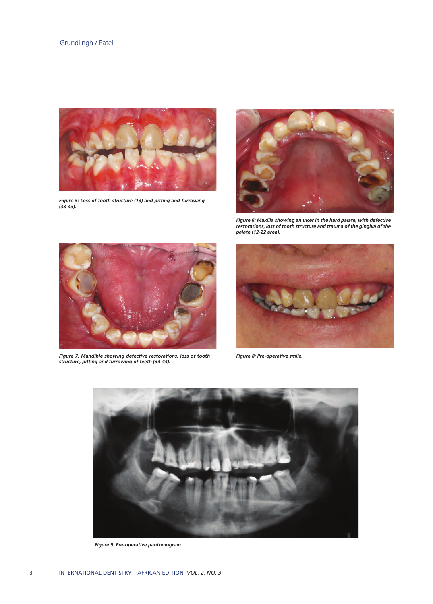

*Figure 5: Loss of tooth structure (13) and pitting and furrowing (33-43).*



*Figure 6: Maxilla showing an ulcer in the hard palate, with defective restorations, loss of tooth structure and trauma of the gingiva of the palate (12-22 area).*



*Figure 7: Mandible showing defective restorations, loss of tooth Figure 8: Pre-operative smile. structure, pitting and furrowing of teeth (34-44).*





*Figure 9: Pre-operative pantomogram.*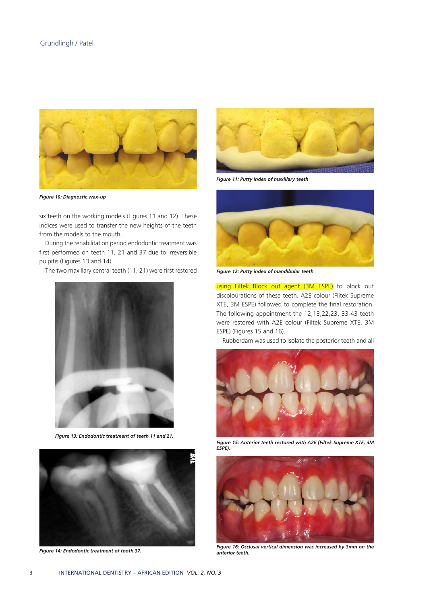

*Figure 10: Diagnostic wax-up*

six teeth on the working models (Figures 11 and 12). These indices were used to transfer the new heights of the teeth from the models to the mouth.

During the rehabilitation period endodontic treatment was first performed on teeth 11, 21 and 37 due to irreversible pulpitis (Figures 13 and 14).

The two maxillary central teeth (11, 21) were first restored



*Figure 13: Endodontic treatment of teeth 11 and 21.*



*Figure 14: Endodontic treatment of tooth 37.*



*Figure 11: Putty index of maxillary teeth*



*Figure 12: Putty index of mandibular teeth*

using Filtek Block out agent (3M ESPE) to block out discolourations of these teeth. A2E colour (Filtek Supreme XTE, 3M ESPE) followed to complete the final restoration. The following appointment the 12,13,22,23, 33-43 teeth were restored with A2E colour (Filtek Supreme XTE, 3M ESPE) (Figures 15 and 16).

Rubberdam was used to isolate the posterior teeth and all



*Figure 15: Anterior teeth restored with A2E (Filtek Supreme XTE, 3M ESPE).*



*Figure 16: Occlusal vertical dimension was increased by 3mm on the anterior teeth.*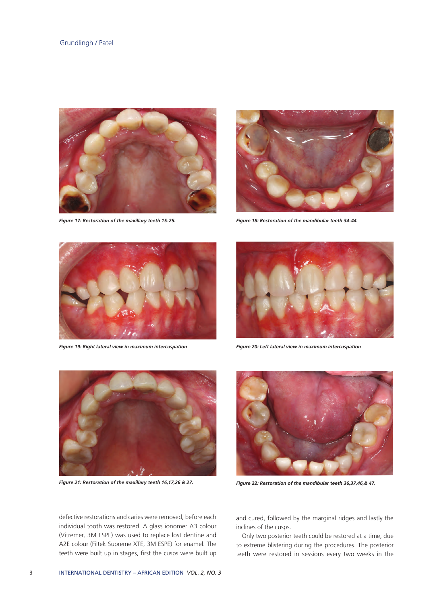

*Figure 17: Restoration of the maxillary teeth 15-25. Figure 18: Restoration of the mandibular teeth 34-44.*





*Figure 19: Right lateral view in maximum intercuspation Figure 20: Left lateral view in maximum intercuspation* 







*Figure 21: Restoration of the maxillary teeth 16,17,26 & 27. Figure 22: Restoration of the mandibular teeth 36,37,46,& 47.* 

defective restorations and caries were removed, before each individual tooth was restored. A glass ionomer A3 colour (Vitremer, 3M ESPE) was used to replace lost dentine and A2E colour (Filtek Supreme XTE, 3M ESPE) for enamel. The teeth were built up in stages, first the cusps were built up and cured, followed by the marginal ridges and lastly the inclines of the cusps.

Only two posterior teeth could be restored at a time, due to extreme blistering during the procedures. The posterior teeth were restored in sessions every two weeks in the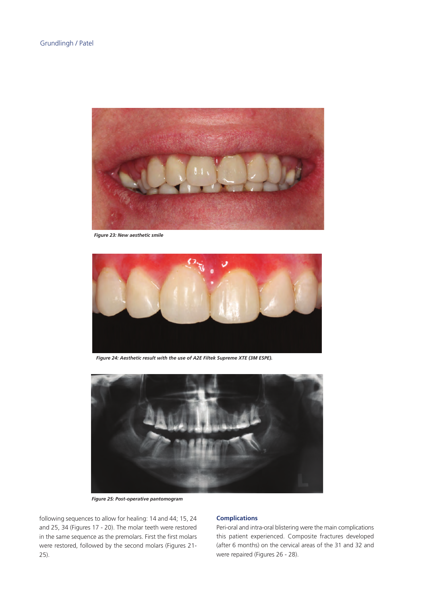

*Figure 23: New aesthetic smile*



*Figure 24: Aesthetic result with the use of A2E Filtek Supreme XTE (3M ESPE).*



*Figure 25: Post-operative pantomogram*

following sequences to allow for healing: 14 and 44; 15, 24 and 25, 34 (Figures 17 - 20). The molar teeth were restored in the same sequence as the premolars. First the first molars were restored, followed by the second molars (Figures 21- 25).

# **Complications**

Peri-oral and intra-oral blistering were the main complications this patient experienced. Composite fractures developed (after 6 months) on the cervical areas of the 31 and 32 and were repaired (Figures 26 - 28).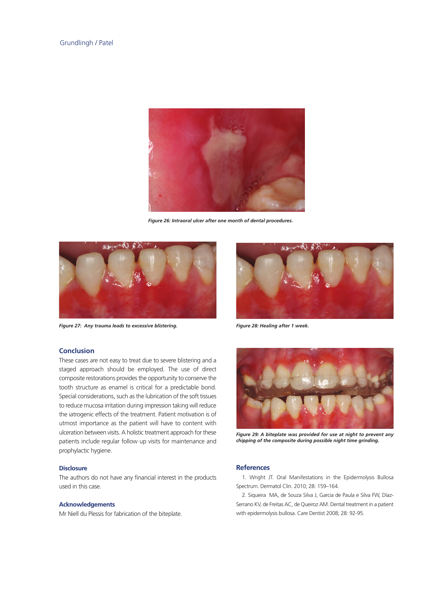

*Figure 26: Intraoral ulcer after one month of dental procedures.*



*Figure 27: Any trauma leads to excessive blistering. Figure 28: Healing after 1 week.*

## **Conclusion**

These cases are not easy to treat due to severe blistering and a staged approach should be employed. The use of direct composite restorations provides the opportunity to conserve the tooth structure as enamel is critical for a predictable bond. Special considerations, such as the lubrication of the soft tissues to reduce mucosa irritation during impression taking will reduce the iatrogenic effects of the treatment. Patient motivation is of utmost importance as the patient will have to content with ulceration between visits. A holistic treatment approach for these patients include regular follow up visits for maintenance and prophylactic hygiene.

## **Disclosure**

The authors do not have any financial interest in the products used in this case.

## **Acknowledgements**

Mr Niell du Plessis for fabrication of the biteplate.





*Figure 29: A biteplate was provided for use at night to prevent any chipping of the composite during possible night time grinding.*

#### **References**

1. Wright JT. Oral Manifestations in the Epidermolysis Bullosa Spectrum. Dermatol Clin. 2010; 28: 159–164.

2. Siqueira MA, de Souza Silva J, Garcia de Paula e Silva FW, Díaz-Serrano KV, de Freitas AC, de Queiroz AM. Dental treatment in a patient with epidermolysis bullosa. Care Dentist 2008; 28: 92-95.